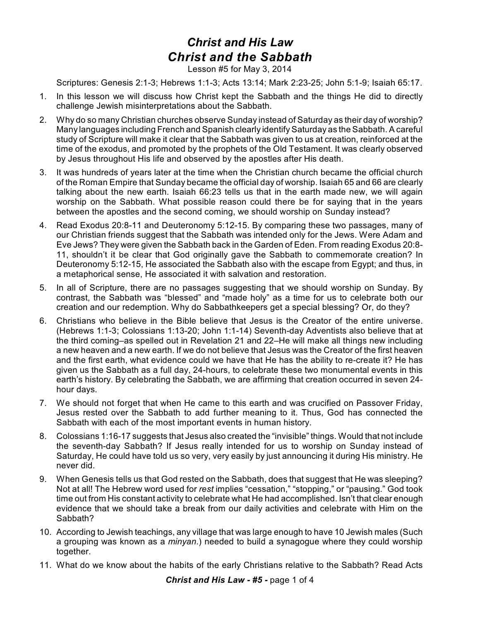## *Christ and His Law Christ and the Sabbath*

Lesson #5 for May 3, 2014

Scriptures: Genesis 2:1-3; Hebrews 1:1-3; Acts 13:14; Mark 2:23-25; John 5:1-9; Isaiah 65:17.

- 1. In this lesson we will discuss how Christ kept the Sabbath and the things He did to directly challenge Jewish misinterpretations about the Sabbath.
- 2. Why do so many Christian churches observe Sunday instead of Saturday as their day of worship? Many languages including French and Spanish clearly identify Saturday as the Sabbath. A careful study of Scripture will make it clear that the Sabbath was given to us at creation, reinforced at the time of the exodus, and promoted by the prophets of the Old Testament. It was clearly observed by Jesus throughout His life and observed by the apostles after His death.
- 3. It was hundreds of years later at the time when the Christian church became the official church of the Roman Empire that Sunday became the official day of worship. Isaiah 65 and 66 are clearly talking about the new earth. Isaiah 66:23 tells us that in the earth made new, we will again worship on the Sabbath. What possible reason could there be for saying that in the years between the apostles and the second coming, we should worship on Sunday instead?
- 4. Read Exodus 20:8-11 and Deuteronomy 5:12-15. By comparing these two passages, many of our Christian friends suggest that the Sabbath was intended only for the Jews. Were Adam and Eve Jews? They were given the Sabbath back in the Garden of Eden. From reading Exodus 20:8- 11, shouldn't it be clear that God originally gave the Sabbath to commemorate creation? In Deuteronomy 5:12-15, He associated the Sabbath also with the escape from Egypt; and thus, in a metaphorical sense, He associated it with salvation and restoration.
- 5. In all of Scripture, there are no passages suggesting that we should worship on Sunday. By contrast, the Sabbath was "blessed" and "made holy" as a time for us to celebrate both our creation and our redemption. Why do Sabbathkeepers get a special blessing? Or, do they?
- 6. Christians who believe in the Bible believe that Jesus is the Creator of the entire universe. (Hebrews 1:1-3; Colossians 1:13-20; John 1:1-14) Seventh-day Adventists also believe that at the third coming–as spelled out in Revelation 21 and 22–He will make all things new including a new heaven and a new earth. If we do not believe that Jesus was the Creator of the first heaven and the first earth, what evidence could we have that He has the ability to re-create it? He has given us the Sabbath as a full day, 24-hours, to celebrate these two monumental events in this earth's history. By celebrating the Sabbath, we are affirming that creation occurred in seven 24 hour days.
- 7. We should not forget that when He came to this earth and was crucified on Passover Friday, Jesus rested over the Sabbath to add further meaning to it. Thus, God has connected the Sabbath with each of the most important events in human history.
- 8. Colossians 1:16-17 suggests that Jesus also created the "invisible" things. Would that not include the seventh-day Sabbath? If Jesus really intended for us to worship on Sunday instead of Saturday, He could have told us so very, very easily by just announcing it during His ministry. He never did.
- 9. When Genesis tells us that God rested on the Sabbath, does that suggest that He was sleeping? Not at all! The Hebrew word used for *rest* implies "cessation," "stopping," or "pausing." God took time out from His constant activity to celebrate what He had accomplished. Isn't that clear enough evidence that we should take a break from our daily activities and celebrate with Him on the Sabbath?
- 10. According to Jewish teachings, any village that was large enough to have 10 Jewish males (Such a grouping was known as a *minyan*.) needed to build a synagogue where they could worship together.
- 11. What do we know about the habits of the early Christians relative to the Sabbath? Read Acts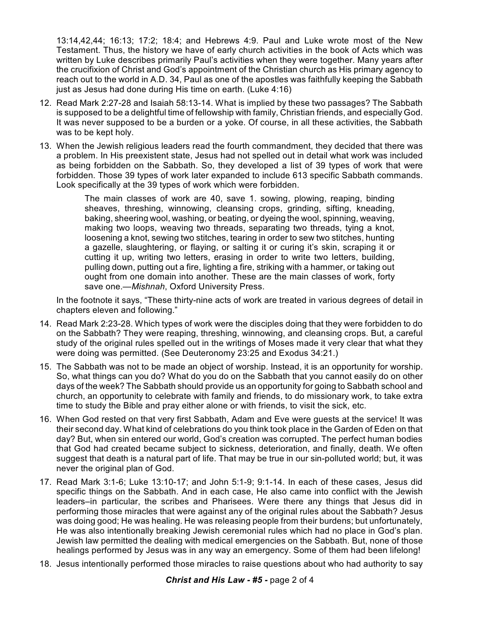13:14,42,44; 16:13; 17:2; 18:4; and Hebrews 4:9. Paul and Luke wrote most of the New Testament. Thus, the history we have of early church activities in the book of Acts which was written by Luke describes primarily Paul's activities when they were together. Many years after the crucifixion of Christ and God's appointment of the Christian church as His primary agency to reach out to the world in A.D. 34, Paul as one of the apostles was faithfully keeping the Sabbath just as Jesus had done during His time on earth. (Luke 4:16)

- 12. Read Mark 2:27-28 and Isaiah 58:13-14. What is implied by these two passages? The Sabbath is supposed to be a delightful time of fellowship with family, Christian friends, and especially God. It was never supposed to be a burden or a yoke. Of course, in all these activities, the Sabbath was to be kept holy.
- 13. When the Jewish religious leaders read the fourth commandment, they decided that there was a problem. In His preexistent state, Jesus had not spelled out in detail what work was included as being forbidden on the Sabbath. So, they developed a list of 39 types of work that were forbidden. Those 39 types of work later expanded to include 613 specific Sabbath commands. Look specifically at the 39 types of work which were forbidden.

The main classes of work are 40, save 1. sowing, plowing, reaping, binding sheaves, threshing, winnowing, cleansing crops, grinding, sifting, kneading, baking, sheering wool, washing, or beating, or dyeing the wool, spinning, weaving, making two loops, weaving two threads, separating two threads, tying a knot, loosening a knot, sewing two stitches, tearing in order to sew two stitches, hunting a gazelle, slaughtering, or flaying, or salting it or curing it's skin, scraping it or cutting it up, writing two letters, erasing in order to write two letters, building, pulling down, putting out a fire, lighting a fire, striking with a hammer, or taking out ought from one domain into another. These are the main classes of work, forty save one.—*Mishnah*, Oxford University Press.

In the footnote it says, "These thirty-nine acts of work are treated in various degrees of detail in chapters eleven and following."

- 14. Read Mark 2:23-28. Which types of work were the disciples doing that they were forbidden to do on the Sabbath? They were reaping, threshing, winnowing, and cleansing crops. But, a careful study of the original rules spelled out in the writings of Moses made it very clear that what they were doing was permitted. (See Deuteronomy 23:25 and Exodus 34:21.)
- 15. The Sabbath was not to be made an object of worship. Instead, it is an opportunity for worship. So, what things can you do? What do you do on the Sabbath that you cannot easily do on other days of the week? The Sabbath should provide us an opportunity for going to Sabbath school and church, an opportunity to celebrate with family and friends, to do missionary work, to take extra time to study the Bible and pray either alone or with friends, to visit the sick, etc.
- 16. When God rested on that very first Sabbath, Adam and Eve were guests at the service! It was their second day. What kind of celebrations do you think took place in the Garden of Eden on that day? But, when sin entered our world, God's creation was corrupted. The perfect human bodies that God had created became subject to sickness, deterioration, and finally, death. We often suggest that death is a natural part of life. That may be true in our sin-polluted world; but, it was never the original plan of God.
- 17. Read Mark 3:1-6; Luke 13:10-17; and John 5:1-9; 9:1-14. In each of these cases, Jesus did specific things on the Sabbath. And in each case, He also came into conflict with the Jewish leaders–in particular, the scribes and Pharisees. Were there any things that Jesus did in performing those miracles that were against any of the original rules about the Sabbath? Jesus was doing good; He was healing. He was releasing people from their burdens; but unfortunately, He was also intentionally breaking Jewish ceremonial rules which had no place in God's plan. Jewish law permitted the dealing with medical emergencies on the Sabbath. But, none of those healings performed by Jesus was in any way an emergency. Some of them had been lifelong!
- 18. Jesus intentionally performed those miracles to raise questions about who had authority to say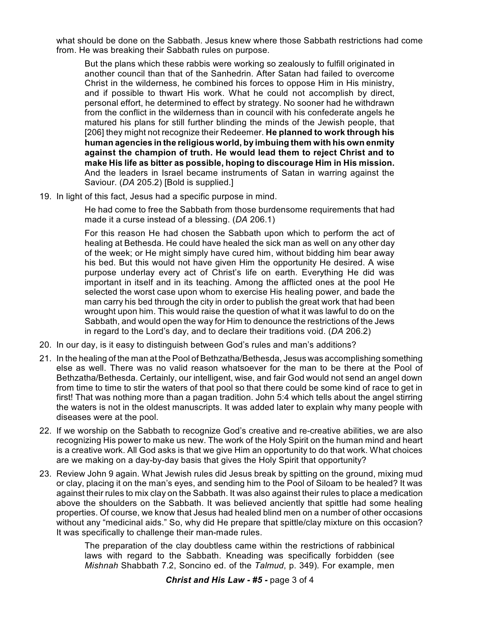what should be done on the Sabbath. Jesus knew where those Sabbath restrictions had come from. He was breaking their Sabbath rules on purpose.

But the plans which these rabbis were working so zealously to fulfill originated in another council than that of the Sanhedrin. After Satan had failed to overcome Christ in the wilderness, he combined his forces to oppose Him in His ministry, and if possible to thwart His work. What he could not accomplish by direct, personal effort, he determined to effect by strategy. No sooner had he withdrawn from the conflict in the wilderness than in council with his confederate angels he matured his plans for still further blinding the minds of the Jewish people, that [206] they might not recognize their Redeemer. **He planned to work through his human agencies in the religious world, by imbuing them with his own enmity against the champion of truth. He would lead them to reject Christ and to make His life as bitter as possible, hoping to discourage Him in His mission.** And the leaders in Israel became instruments of Satan in warring against the Saviour. (*DA* 205.2) [Bold is supplied.]

19. In light of this fact, Jesus had a specific purpose in mind.

He had come to free the Sabbath from those burdensome requirements that had made it a curse instead of a blessing. (*DA* 206.1)

For this reason He had chosen the Sabbath upon which to perform the act of healing at Bethesda. He could have healed the sick man as well on any other day of the week; or He might simply have cured him, without bidding him bear away his bed. But this would not have given Him the opportunity He desired. A wise purpose underlay every act of Christ's life on earth. Everything He did was important in itself and in its teaching. Among the afflicted ones at the pool He selected the worst case upon whom to exercise His healing power, and bade the man carry his bed through the city in order to publish the great work that had been wrought upon him. This would raise the question of what it was lawful to do on the Sabbath, and would open the way for Him to denounce the restrictions of the Jews in regard to the Lord's day, and to declare their traditions void. (*DA* 206.2)

- 20. In our day, is it easy to distinguish between God's rules and man's additions?
- 21. In the healing of the man at the Pool of Bethzatha/Bethesda, Jesus was accomplishing something else as well. There was no valid reason whatsoever for the man to be there at the Pool of Bethzatha/Bethesda. Certainly, our intelligent, wise, and fair God would not send an angel down from time to time to stir the waters of that pool so that there could be some kind of race to get in first! That was nothing more than a pagan tradition. John 5:4 which tells about the angel stirring the waters is not in the oldest manuscripts. It was added later to explain why many people with diseases were at the pool.
- 22. If we worship on the Sabbath to recognize God's creative and re-creative abilities, we are also recognizing His power to make us new. The work of the Holy Spirit on the human mind and heart is a creative work. All God asks is that we give Him an opportunity to do that work. What choices are we making on a day-by-day basis that gives the Holy Spirit that opportunity?
- 23. Review John 9 again. What Jewish rules did Jesus break by spitting on the ground, mixing mud or clay, placing it on the man's eyes, and sending him to the Pool of Siloam to be healed? It was against their rules to mix clay on the Sabbath. It was also against their rules to place a medication above the shoulders on the Sabbath. It was believed anciently that spittle had some healing properties. Of course, we know that Jesus had healed blind men on a number of other occasions without any "medicinal aids." So, why did He prepare that spittle/clay mixture on this occasion? It was specifically to challenge their man-made rules.

The preparation of the clay doubtless came within the restrictions of rabbinical laws with regard to the Sabbath. Kneading was specifically forbidden (see *Mishnah* Shabbath 7.2, Soncino ed. of the *Talmud*, p. 349). For example, men